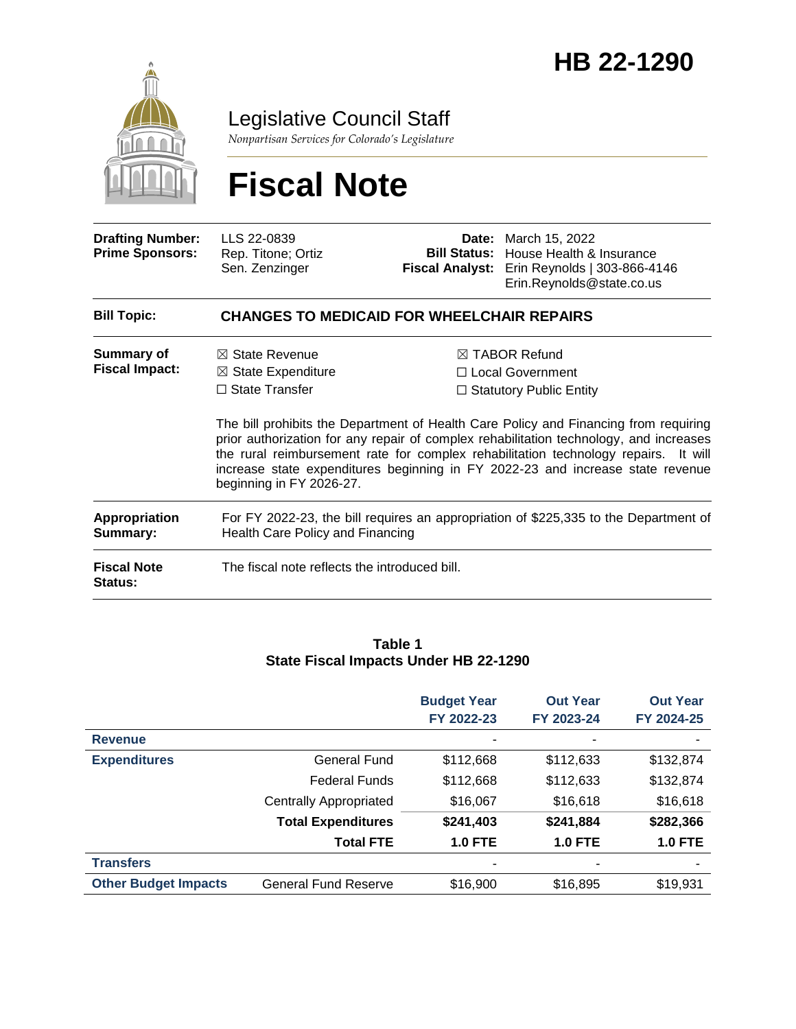

Legislative Council Staff

*Nonpartisan Services for Colorado's Legislature*

# **Fiscal Note**

| <b>Drafting Number:</b><br><b>Prime Sponsors:</b> | LLS 22-0839<br>Rep. Titone; Ortiz<br>Sen. Zenzinger                                                                      |                                                                                                                                                                                                                                                                                                                                                                | <b>Date:</b> March 15, 2022<br><b>Bill Status:</b> House Health & Insurance<br>Fiscal Analyst: Erin Reynolds   303-866-4146<br>Erin.Reynolds@state.co.us |  |  |  |
|---------------------------------------------------|--------------------------------------------------------------------------------------------------------------------------|----------------------------------------------------------------------------------------------------------------------------------------------------------------------------------------------------------------------------------------------------------------------------------------------------------------------------------------------------------------|----------------------------------------------------------------------------------------------------------------------------------------------------------|--|--|--|
| <b>Bill Topic:</b>                                | <b>CHANGES TO MEDICAID FOR WHEELCHAIR REPAIRS</b>                                                                        |                                                                                                                                                                                                                                                                                                                                                                |                                                                                                                                                          |  |  |  |
| Summary of<br><b>Fiscal Impact:</b>               | $\boxtimes$ State Revenue<br>$\boxtimes$ State Expenditure<br>$\Box$ State Transfer                                      | $\boxtimes$ TABOR Refund<br>$\Box$ Local Government<br>$\Box$ Statutory Public Entity<br>The bill prohibits the Department of Health Care Policy and Financing from requiring<br>prior authorization for any repair of complex rehabilitation technology, and increases<br>the rural reimbursement rate for complex rehabilitation technology repairs. It will |                                                                                                                                                          |  |  |  |
|                                                   | increase state expenditures beginning in FY 2022-23 and increase state revenue<br>beginning in FY 2026-27.               |                                                                                                                                                                                                                                                                                                                                                                |                                                                                                                                                          |  |  |  |
| <b>Appropriation</b><br>Summary:                  | For FY 2022-23, the bill requires an appropriation of \$225,335 to the Department of<br>Health Care Policy and Financing |                                                                                                                                                                                                                                                                                                                                                                |                                                                                                                                                          |  |  |  |
| <b>Fiscal Note</b><br><b>Status:</b>              | The fiscal note reflects the introduced bill.                                                                            |                                                                                                                                                                                                                                                                                                                                                                |                                                                                                                                                          |  |  |  |

#### **Table 1 State Fiscal Impacts Under HB 22-1290**

|                             |                               | <b>Budget Year</b><br>FY 2022-23 | <b>Out Year</b><br>FY 2023-24 | <b>Out Year</b><br>FY 2024-25 |
|-----------------------------|-------------------------------|----------------------------------|-------------------------------|-------------------------------|
| <b>Revenue</b>              |                               |                                  |                               |                               |
| <b>Expenditures</b>         | General Fund                  | \$112,668                        | \$112,633                     | \$132,874                     |
|                             | <b>Federal Funds</b>          | \$112,668                        | \$112,633                     | \$132,874                     |
|                             | <b>Centrally Appropriated</b> | \$16,067                         | \$16,618                      | \$16,618                      |
|                             | <b>Total Expenditures</b>     | \$241,403                        | \$241,884                     | \$282,366                     |
|                             | <b>Total FTE</b>              | <b>1.0 FTE</b>                   | <b>1.0 FTE</b>                | <b>1.0 FTE</b>                |
| <b>Transfers</b>            |                               |                                  |                               |                               |
| <b>Other Budget Impacts</b> | <b>General Fund Reserve</b>   | \$16,900                         | \$16,895                      | \$19,931                      |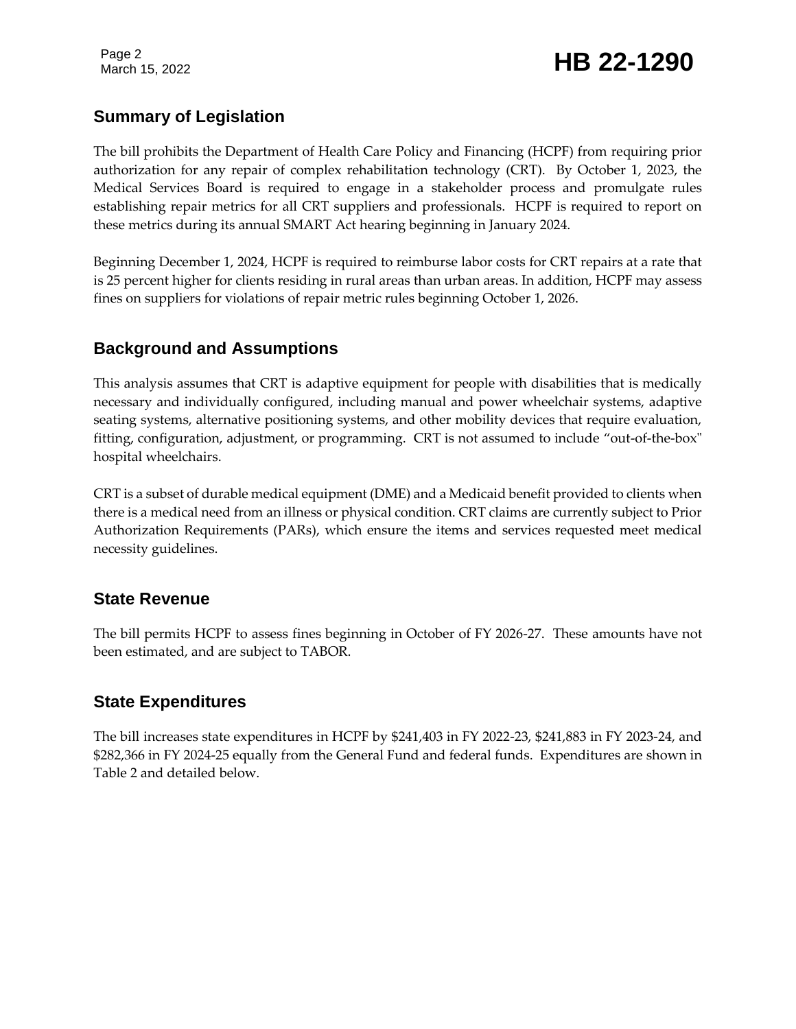# Page 2<br>March 15, 2022 **HB 22-1290**

## **Summary of Legislation**

The bill prohibits the Department of Health Care Policy and Financing (HCPF) from requiring prior authorization for any repair of complex rehabilitation technology (CRT). By October 1, 2023, the Medical Services Board is required to engage in a stakeholder process and promulgate rules establishing repair metrics for all CRT suppliers and professionals. HCPF is required to report on these metrics during its annual SMART Act hearing beginning in January 2024.

Beginning December 1, 2024, HCPF is required to reimburse labor costs for CRT repairs at a rate that is 25 percent higher for clients residing in rural areas than urban areas. In addition, HCPF may assess fines on suppliers for violations of repair metric rules beginning October 1, 2026.

### **Background and Assumptions**

This analysis assumes that CRT is adaptive equipment for people with disabilities that is medically necessary and individually configured, including manual and power wheelchair systems, adaptive seating systems, alternative positioning systems, and other mobility devices that require evaluation, fitting, configuration, adjustment, or programming. CRT is not assumed to include "out-of-the-box" hospital wheelchairs.

CRT is a subset of durable medical equipment (DME) and a Medicaid benefit provided to clients when there is a medical need from an illness or physical condition. CRT claims are currently subject to Prior Authorization Requirements (PARs), which ensure the items and services requested meet medical necessity guidelines.

#### **State Revenue**

The bill permits HCPF to assess fines beginning in October of FY 2026-27. These amounts have not been estimated, and are subject to TABOR.

### **State Expenditures**

The bill increases state expenditures in HCPF by \$241,403 in FY 2022-23, \$241,883 in FY 2023-24, and \$282,366 in FY 2024-25 equally from the General Fund and federal funds. Expenditures are shown in Table 2 and detailed below.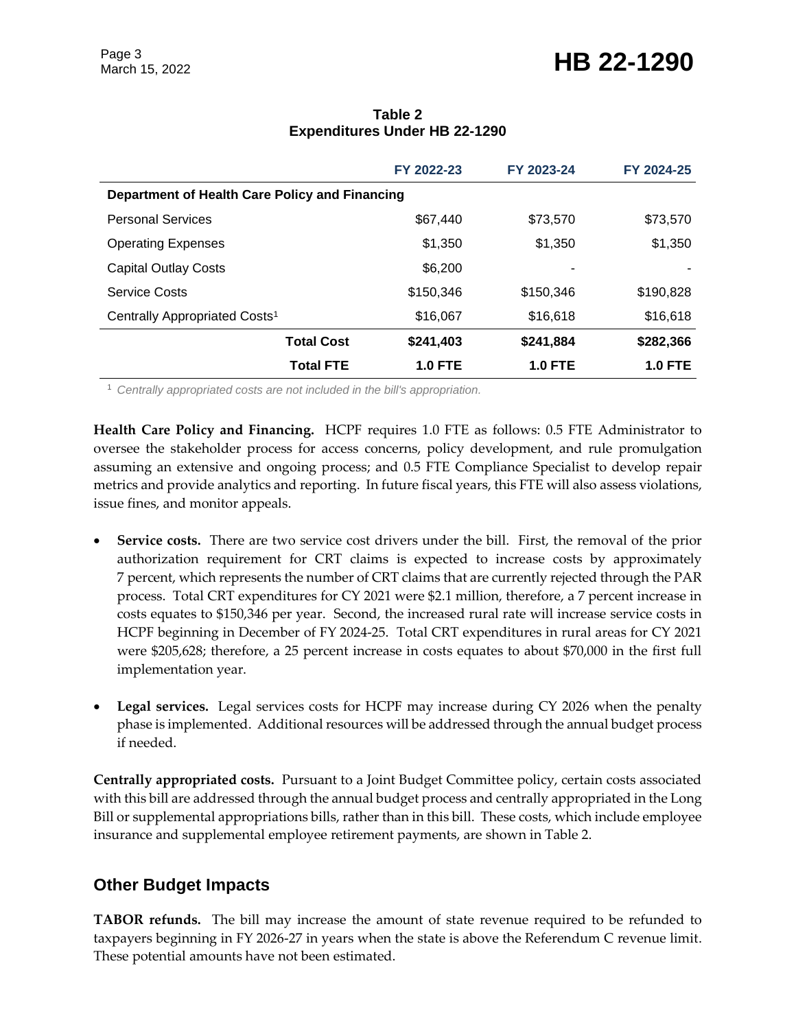|                                                |                   | FY 2022-23     | FY 2023-24     | FY 2024-25     |  |  |  |
|------------------------------------------------|-------------------|----------------|----------------|----------------|--|--|--|
| Department of Health Care Policy and Financing |                   |                |                |                |  |  |  |
| <b>Personal Services</b>                       |                   | \$67,440       | \$73,570       | \$73,570       |  |  |  |
| <b>Operating Expenses</b>                      |                   | \$1,350        | \$1,350        | \$1,350        |  |  |  |
| <b>Capital Outlay Costs</b>                    |                   | \$6,200        |                |                |  |  |  |
| <b>Service Costs</b>                           |                   | \$150,346      | \$150,346      | \$190.828      |  |  |  |
| Centrally Appropriated Costs <sup>1</sup>      |                   | \$16,067       | \$16,618       | \$16,618       |  |  |  |
|                                                | <b>Total Cost</b> | \$241,403      | \$241,884      | \$282,366      |  |  |  |
|                                                | <b>Total FTE</b>  | <b>1.0 FTE</b> | <b>1.0 FTE</b> | <b>1.0 FTE</b> |  |  |  |

#### **Table 2 Expenditures Under HB 22-1290**

<sup>1</sup> *Centrally appropriated costs are not included in the bill's appropriation.*

**Health Care Policy and Financing.** HCPF requires 1.0 FTE as follows: 0.5 FTE Administrator to oversee the stakeholder process for access concerns, policy development, and rule promulgation assuming an extensive and ongoing process; and 0.5 FTE Compliance Specialist to develop repair metrics and provide analytics and reporting. In future fiscal years, this FTE will also assess violations, issue fines, and monitor appeals.

- **Service costs.** There are two service cost drivers under the bill. First, the removal of the prior authorization requirement for CRT claims is expected to increase costs by approximately 7 percent, which represents the number of CRT claims that are currently rejected through the PAR process. Total CRT expenditures for CY 2021 were \$2.1 million, therefore, a 7 percent increase in costs equates to \$150,346 per year. Second, the increased rural rate will increase service costs in HCPF beginning in December of FY 2024-25. Total CRT expenditures in rural areas for CY 2021 were \$205,628; therefore, a 25 percent increase in costs equates to about \$70,000 in the first full implementation year.
- **Legal services.** Legal services costs for HCPF may increase during CY 2026 when the penalty phase is implemented. Additional resources will be addressed through the annual budget process if needed.

**Centrally appropriated costs.** Pursuant to a Joint Budget Committee policy, certain costs associated with this bill are addressed through the annual budget process and centrally appropriated in the Long Bill or supplemental appropriations bills, rather than in this bill. These costs, which include employee insurance and supplemental employee retirement payments, are shown in Table 2.

### **Other Budget Impacts**

**TABOR refunds.** The bill may increase the amount of state revenue required to be refunded to taxpayers beginning in FY 2026-27 in years when the state is above the Referendum C revenue limit. These potential amounts have not been estimated.